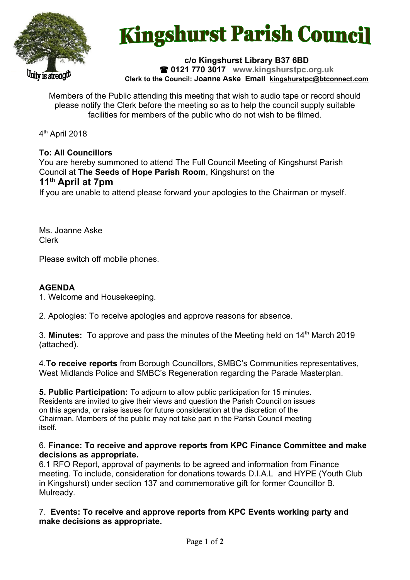

# **Kingshurst Parish Council**

**c/o Kingshurst Library B37 6BD 0121 770 3017 www.kingshurstpc.org.uk Clerk to the Council: Joanne Aske Email [kingshurstpc@btconnect.com](mailto:kingshurstpc@btconnect.com)**

Members of the Public attending this meeting that wish to audio tape or record should please notify the Clerk before the meeting so as to help the council supply suitable facilities for members of the public who do not wish to be filmed.

4<sup>th</sup> April 2018

# **To: All Councillors**

You are hereby summoned to attend The Full Council Meeting of Kingshurst Parish Council at **The Seeds of Hope Parish Room**, Kingshurst on the **11th April at 7pm**

If you are unable to attend please forward your apologies to the Chairman or myself.

Ms. Joanne Aske Clerk

Please switch off mobile phones.

# **AGENDA**

1. Welcome and Housekeeping.

2. Apologies: To receive apologies and approve reasons for absence.

3. **Minutes:** To approve and pass the minutes of the Meeting held on 14<sup>th</sup> March 2019 (attached).

4.**To receive reports** from Borough Councillors, SMBC's Communities representatives, West Midlands Police and SMBC's Regeneration regarding the Parade Masterplan.

**5. Public Participation:** To adjourn to allow public participation for 15 minutes. Residents are invited to give their views and question the Parish Council on issues on this agenda, or raise issues for future consideration at the discretion of the Chairman. Members of the public may not take part in the Parish Council meeting itself.

### 6. **Finance: To receive and approve reports from KPC Finance Committee and make decisions as appropriate.**

6.1 RFO Report, approval of payments to be agreed and information from Finance meeting. To include, consideration for donations towards D.I.A.L and HYPE (Youth Club in Kingshurst) under section 137 and commemorative gift for former Councillor B. Mulready.

7. **Events: To receive and approve reports from KPC Events working party and make decisions as appropriate.**